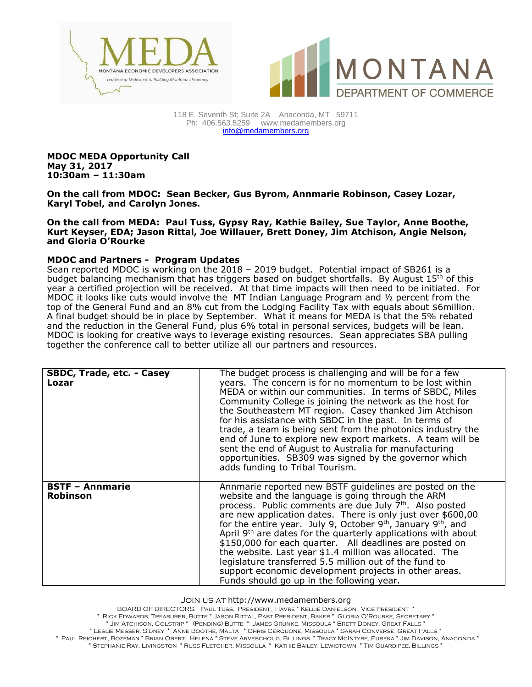



118 E. Seventh St; Suite 2A Anaconda, MT 59711 Ph: 406.563.5259 [www.medamembers.org](http://www.medamembers.org/) [info@medamembers.org](mailto:info@medamembers.org)

**MDOC MEDA Opportunity Call May 31, 2017 10:30am – 11:30am**

**On the call from MDOC: Sean Becker, Gus Byrom, Annmarie Robinson, Casey Lozar, Karyl Tobel, and Carolyn Jones.**

**On the call from MEDA: Paul Tuss, Gypsy Ray, Kathie Bailey, Sue Taylor, Anne Boothe, Kurt Keyser, EDA; Jason Rittal, Joe Willauer, Brett Doney, Jim Atchison, Angie Nelson, and Gloria O'Rourke**

## **MDOC and Partners - Program Updates**

Sean reported MDOC is working on the 2018 – 2019 budget. Potential impact of SB261 is a budget balancing mechanism that has triggers based on budget shortfalls. By August 15th of this year a certified projection will be received. At that time impacts will then need to be initiated. For MDOC it looks like cuts would involve the MT Indian Language Program and ½ percent from the top of the General Fund and an 8% cut from the Lodging Facility Tax with equals about \$6million. A final budget should be in place by September. What it means for MEDA is that the 5% rebated and the reduction in the General Fund, plus 6% total in personal services, budgets will be lean. MDOC is looking for creative ways to leverage existing resources. Sean appreciates SBA pulling together the conference call to better utilize all our partners and resources.

| SBDC, Trade, etc. - Casey<br>Lozar        | The budget process is challenging and will be for a few<br>years. The concern is for no momentum to be lost within<br>MEDA or within our communities. In terms of SBDC, Miles<br>Community College is joining the network as the host for<br>the Southeastern MT region. Casey thanked Jim Atchison<br>for his assistance with SBDC in the past. In terms of<br>trade, a team is being sent from the photonics industry the<br>end of June to explore new export markets. A team will be<br>sent the end of August to Australia for manufacturing<br>opportunities. SB309 was signed by the governor which<br>adds funding to Tribal Tourism.                                             |
|-------------------------------------------|-------------------------------------------------------------------------------------------------------------------------------------------------------------------------------------------------------------------------------------------------------------------------------------------------------------------------------------------------------------------------------------------------------------------------------------------------------------------------------------------------------------------------------------------------------------------------------------------------------------------------------------------------------------------------------------------|
| <b>BSTF - Annmarie</b><br><b>Robinson</b> | Annmarie reported new BSTF quidelines are posted on the<br>website and the language is going through the ARM<br>process. Public comments are due July 7 <sup>th</sup> . Also posted<br>are new application dates. There is only just over \$600,00<br>for the entire year. July 9, October $9th$ , January $9th$ , and<br>April 9 <sup>th</sup> are dates for the quarterly applications with about<br>\$150,000 for each quarter. All deadlines are posted on<br>the website. Last year \$1.4 million was allocated. The<br>legislature transferred 5.5 million out of the fund to<br>support economic development projects in other areas.<br>Funds should go up in the following year. |

Join us at http://www.medamembers.org

BOARD OF DIRECTORS: Paul Tuss, President, Havre \* Kellie Danielson, Vice President \* \* Rick Edwards, Treasurer, Butte \* Jason Rittal, Past President, Baker \* Gloria O'Rourke, Secretary \* \* Jim Atchison, Colstrip \* (Pending) Butte \* James Grunke, Missoula \* Brett Doney, Great Falls \* \* Leslie Messer, Sidney \* Anne Boothe, Malta \* Chris Cerquone, Missoula \* Sarah Converse, Great Falls \* \* Paul Reichert, Bozeman \* Brian Obert, Helena \* Steve Arveschoug, Billings \* Tracy McIntyre, Eureka \* Jim Davison, Anaconda \* \* Stephanie Ray, Livingston \* Russ Fletcher, Missoula \* Kathie Bailey, Lewistown \* Tim Guardipee, Billings \*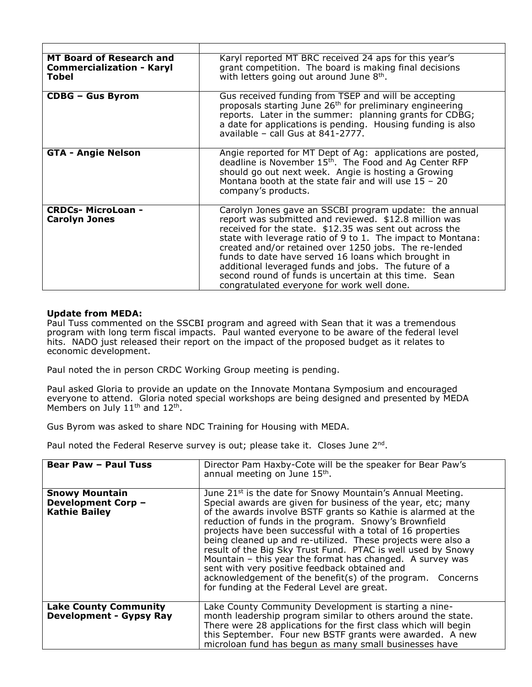| <b>MT Board of Research and</b><br><b>Commercialization - Karyl</b><br>Tobel | Karyl reported MT BRC received 24 aps for this year's<br>grant competition. The board is making final decisions<br>with letters going out around June 8 <sup>th</sup> .                                                                                                                                                                                                                                                                                                                                                  |
|------------------------------------------------------------------------------|--------------------------------------------------------------------------------------------------------------------------------------------------------------------------------------------------------------------------------------------------------------------------------------------------------------------------------------------------------------------------------------------------------------------------------------------------------------------------------------------------------------------------|
| <b>CDBG - Gus Byrom</b>                                                      | Gus received funding from TSEP and will be accepting<br>proposals starting June 26 <sup>th</sup> for preliminary engineering<br>reports. Later in the summer: planning grants for CDBG;<br>a date for applications is pending. Housing funding is also<br>available - call Gus at 841-2777.                                                                                                                                                                                                                              |
| <b>GTA - Angie Nelson</b>                                                    | Angie reported for MT Dept of Ag: applications are posted,<br>deadline is November 15 <sup>th</sup> . The Food and Ag Center RFP<br>should go out next week. Angie is hosting a Growing<br>Montana booth at the state fair and will use $15 - 20$<br>company's products.                                                                                                                                                                                                                                                 |
| <b>CRDCs- MicroLoan -</b><br><b>Carolyn Jones</b>                            | Carolyn Jones gave an SSCBI program update: the annual<br>report was submitted and reviewed. \$12.8 million was<br>received for the state. \$12.35 was sent out across the<br>state with leverage ratio of 9 to 1. The impact to Montana:<br>created and/or retained over 1250 jobs. The re-lended<br>funds to date have served 16 loans which brought in<br>additional leveraged funds and jobs. The future of a<br>second round of funds is uncertain at this time. Sean<br>congratulated everyone for work well done. |

## **Update from MEDA:**

Paul Tuss commented on the SSCBI program and agreed with Sean that it was a tremendous program with long term fiscal impacts. Paul wanted everyone to be aware of the federal level hits. NADO just released their report on the impact of the proposed budget as it relates to economic development.

Paul noted the in person CRDC Working Group meeting is pending.

Paul asked Gloria to provide an update on the Innovate Montana Symposium and encouraged everyone to attend. Gloria noted special workshops are being designed and presented by MEDA Members on July  $11<sup>th</sup>$  and  $12<sup>th</sup>$ .

Gus Byrom was asked to share NDC Training for Housing with MEDA.

Paul noted the Federal Reserve survey is out; please take it. Closes June  $2^{nd}$ .

| <b>Bear Paw - Paul Tuss</b>                                                | Director Pam Haxby-Cote will be the speaker for Bear Paw's<br>annual meeting on June 15 <sup>th</sup> .                                                                                                                                                                                                                                                                                                                                                                                                                                                                                                                                                                                    |
|----------------------------------------------------------------------------|--------------------------------------------------------------------------------------------------------------------------------------------------------------------------------------------------------------------------------------------------------------------------------------------------------------------------------------------------------------------------------------------------------------------------------------------------------------------------------------------------------------------------------------------------------------------------------------------------------------------------------------------------------------------------------------------|
| <b>Snowy Mountain</b><br><b>Development Corp -</b><br><b>Kathie Bailey</b> | June 21 <sup>st</sup> is the date for Snowy Mountain's Annual Meeting.<br>Special awards are given for business of the year, etc; many<br>of the awards involve BSTF grants so Kathie is alarmed at the<br>reduction of funds in the program. Snowy's Brownfield<br>projects have been successful with a total of 16 properties<br>being cleaned up and re-utilized. These projects were also a<br>result of the Big Sky Trust Fund. PTAC is well used by Snowy<br>Mountain - this year the format has changed. A survey was<br>sent with very positive feedback obtained and<br>acknowledgement of the benefit(s) of the program. Concerns<br>for funding at the Federal Level are great. |
| <b>Lake County Community</b><br><b>Development - Gypsy Ray</b>             | Lake County Community Development is starting a nine-<br>month leadership program similar to others around the state.<br>There were 28 applications for the first class which will begin<br>this September. Four new BSTF grants were awarded. A new<br>microloan fund has begun as many small businesses have                                                                                                                                                                                                                                                                                                                                                                             |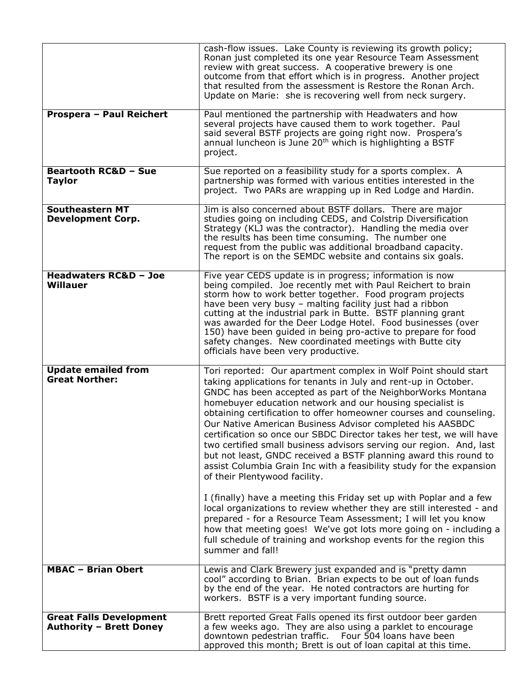|                                                                  | cash-flow issues. Lake County is reviewing its growth policy;<br>Ronan just completed its one year Resource Team Assessment<br>review with great success. A cooperative brewery is one<br>outcome from that effort which is in progress. Another project<br>that resulted from the assessment is Restore the Ronan Arch.<br>Update on Marie: she is recovering well from neck surgery.                                                                                                                                                                                                                                                                                                                                        |
|------------------------------------------------------------------|-------------------------------------------------------------------------------------------------------------------------------------------------------------------------------------------------------------------------------------------------------------------------------------------------------------------------------------------------------------------------------------------------------------------------------------------------------------------------------------------------------------------------------------------------------------------------------------------------------------------------------------------------------------------------------------------------------------------------------|
| Prospera - Paul Reichert                                         | Paul mentioned the partnership with Headwaters and how<br>several projects have caused them to work together. Paul<br>said several BSTF projects are going right now. Prospera's<br>annual luncheon is June 20 <sup>th</sup> which is highlighting a BSTF<br>project.                                                                                                                                                                                                                                                                                                                                                                                                                                                         |
| <b>Beartooth RC&amp;D - Sue</b><br><b>Taylor</b>                 | Sue reported on a feasibility study for a sports complex. A<br>partnership was formed with various entities interested in the<br>project. Two PARs are wrapping up in Red Lodge and Hardin.                                                                                                                                                                                                                                                                                                                                                                                                                                                                                                                                   |
| <b>Southeastern MT</b><br><b>Development Corp.</b>               | Jim is also concerned about BSTF dollars. There are major<br>studies going on including CEDS, and Colstrip Diversification<br>Strategy (KLJ was the contractor). Handling the media over<br>the results has been time consuming. The number one<br>request from the public was additional broadband capacity.<br>The report is on the SEMDC website and contains six goals.                                                                                                                                                                                                                                                                                                                                                   |
| <b>Headwaters RC&amp;D - Joe</b><br>Willauer                     | Five year CEDS update is in progress; information is now<br>being compiled. Joe recently met with Paul Reichert to brain<br>storm how to work better together. Food program projects<br>have been very busy - malting facility just had a ribbon<br>cutting at the industrial park in Butte. BSTF planning grant<br>was awarded for the Deer Lodge Hotel. Food businesses (over<br>150) have been guided in being pro-active to prepare for food<br>safety changes. New coordinated meetings with Butte city<br>officials have been very productive.                                                                                                                                                                          |
| <b>Update emailed from</b><br><b>Great Norther:</b>              | Tori reported: Our apartment complex in Wolf Point should start<br>taking applications for tenants in July and rent-up in October.<br>GNDC has been accepted as part of the NeighborWorks Montana<br>homebuyer education network and our housing specialist is<br>obtaining certification to offer homeowner courses and counseling.<br>Our Native American Business Advisor completed his AASBDC<br>certification so once our SBDC Director takes her test, we will have<br>two certified small business advisors serving our region. And, last<br>but not least, GNDC received a BSTF planning award this round to<br>assist Columbia Grain Inc with a feasibility study for the expansion<br>of their Plentywood facility. |
|                                                                  | I (finally) have a meeting this Friday set up with Poplar and a few<br>local organizations to review whether they are still interested - and<br>prepared - for a Resource Team Assessment; I will let you know<br>how that meeting goes! We've got lots more going on - including a<br>full schedule of training and workshop events for the region this<br>summer and fall!                                                                                                                                                                                                                                                                                                                                                  |
| <b>MBAC - Brian Obert</b>                                        | Lewis and Clark Brewery just expanded and is "pretty damn<br>cool" according to Brian. Brian expects to be out of loan funds<br>by the end of the year. He noted contractors are hurting for<br>workers. BSTF is a very important funding source.                                                                                                                                                                                                                                                                                                                                                                                                                                                                             |
| <b>Great Falls Development</b><br><b>Authority - Brett Doney</b> | Brett reported Great Falls opened its first outdoor beer garden<br>a few weeks ago. They are also using a parklet to encourage<br>downtown pedestrian traffic.<br>Four 504 loans have been<br>approved this month; Brett is out of loan capital at this time.                                                                                                                                                                                                                                                                                                                                                                                                                                                                 |